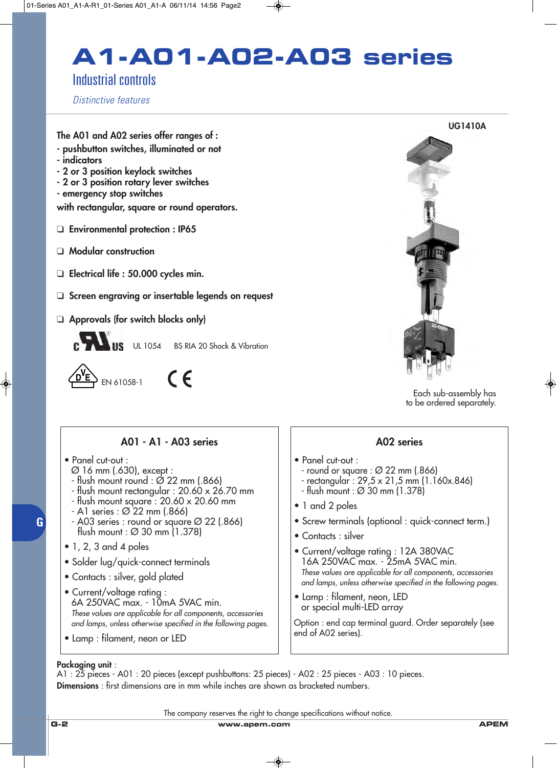# **A1-A01-A02-A03 series**

## Industrial controls

*Distinctive features*

**The A01 and A02 series offer ranges of :**

- **pushbutton switches, illuminated or not**
- **indicators**
- **2 or 3 position keylock switches - 2 or 3 position rotary lever switches**
- **emergency stop switches**

**with rectangular, square or round operators.**

- ❑ **Environmental protection : IP65**
- ❑ **Modular construction**
- ❑ **Electrical life : 50.000 cycles min.**
- ❑ **Screen engraving or insertable legends on request**
- ❑ **Approvals (for switch blocks only)**



UL 1054 BS RIA 20 Shock & Vibration

 $S_{EN 61058-1}$  (F



Each sub-assembly has to be ordered separately.

**A01 - A1 - A03 series**

- Panel cut-out :
	- Ø 16 mm (.630), except :
	- $-$  flush mount round :  $\varnothing$  22 mm (.866)
	- flush mount rectangular : 20.60 x 26.70 mm
	- flush mount square : 20.60 x 20.60 mm
	- A1 series : Ø 22 mm (.866)
	- A03 series : round or square Ø 22 (.866) flush mount : Ø 30 mm (1.378)
- $\bullet$  1, 2, 3 and 4 poles
- Solder lug/quick-connect terminals
- Contacts : silver, gold plated
- Current/voltage rating : 6A 250VAC max. - 10mA 5VAC min. *These values are applicable for all components, accessories and lamps, unless otherwise specified in the following pages.*
- Lamp : filament, neon or LED

### **A02 series**

- Panel cut-out :
	- round or square : Ø 22 mm (.866)
	- rectangular : 29,5 x 21,5 mm (1.160x.846)
	- flush mount : Ø 30 mm (1.378)
- 1 and 2 poles
- Screw terminals (optional : quick-connect term.)
- Contacts : silver
- Current/voltage rating : 12A 380VAC 16A 250VAC max. - 25mA 5VAC min. *These values are applicable for all components, accessories and lamps, unless otherwise specified in the following pages.*
- Lamp : filament, neon, LED or special multi-LED array

Option : end cap terminal guard. Order separately (see end of A02 series).

### **Packaging unit** :

A1 : 25 pieces - A01 : 20 pieces (except pushbuttons: 25 pieces) - A02 : 25 pieces - A03 : 10 pieces. **Dimensions** : first dimensions are in mm while inches are shown as bracketed numbers.

The company reserves the right to change specifications without notice.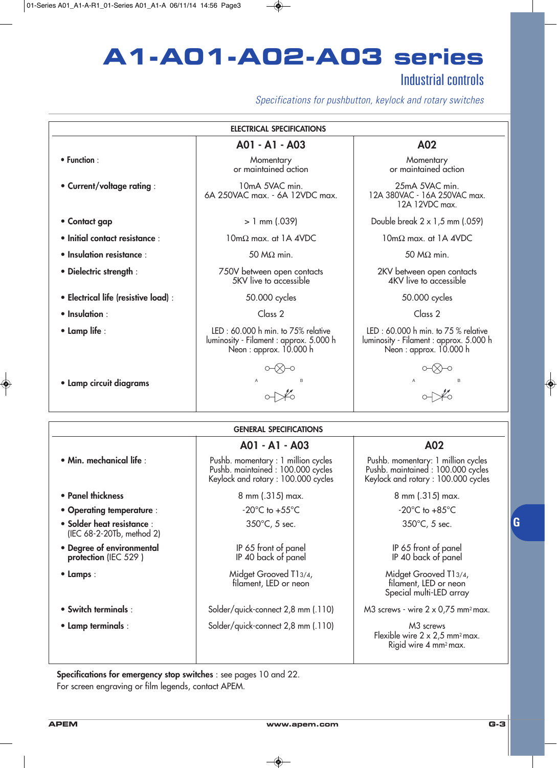# **A1-A01-A02-A03 series**

## Industrial controls

*Specifications for pushbutton, keylock and rotary switches*

|                                                         | <b>ELECTRICAL SPECIFICATIONS</b>                                                                               |                                                                                                               |
|---------------------------------------------------------|----------------------------------------------------------------------------------------------------------------|---------------------------------------------------------------------------------------------------------------|
|                                                         | A01 - A1 - A03                                                                                                 | A02                                                                                                           |
| • Function:                                             | Momentary<br>or maintained action                                                                              | Momentary<br>or maintained action                                                                             |
| • Current/voltage rating :                              | 10mA 5VAC min.<br>6A 250VAC max. - 6A 12VDC max.                                                               | 25mA 5VAC min.<br>12A 380VAC - 16A 250VAC max.<br>12A 12VDC max.                                              |
| • Contact gap                                           | $> 1$ mm (.039)                                                                                                | Double break $2 \times 1.5$ mm (.059)                                                                         |
| · Initial contact resistance :                          | $10 \text{m}\Omega$ max. at 1A 4VDC                                                                            | $10 \text{m}\Omega$ max. at 1A 4VDC                                                                           |
| · Insulation resistance :                               | 50 $M\Omega$ min.                                                                                              | 50 $M\Omega$ min.                                                                                             |
| • Dielectric strength :                                 | 750V between open contacts<br>5KV live to accessible                                                           | 2KV between open contacts<br>4KV live to accessible                                                           |
| · Electrical life (resistive load) :                    | 50.000 cycles                                                                                                  | 50.000 cycles                                                                                                 |
| · Insulation:                                           | Class 2                                                                                                        | Class 2                                                                                                       |
| • Lamp life :                                           | LED: 60.000 h min. to 75% relative<br>luminosity - Filament : approx. 5.000 h<br>Neon: approx. 10.000 h        | LED: 60,000 h min. to 75 % relative<br>luminosity - Filament : approx. 5.000 h<br>Neon: approx. 10.000 h      |
| • Lamp circuit diagrams                                 | $\overline{A}$                                                                                                 |                                                                                                               |
|                                                         |                                                                                                                |                                                                                                               |
|                                                         |                                                                                                                |                                                                                                               |
|                                                         | <b>GENERAL SPECIFICATIONS</b>                                                                                  |                                                                                                               |
|                                                         | A01 - A1 - A03                                                                                                 | A02                                                                                                           |
| · Min. mechanical life :                                | Pushb. momentary : 1 million cycles<br>Pushb. maintained: 100.000 cycles<br>Keylock and rotary: 100.000 cycles | Pushb. momentary: 1 million cycles<br>Pushb. maintained: 100.000 cycles<br>Keylock and rotary: 100.000 cycles |
| • Panel thickness                                       | 8 mm (.315) max.                                                                                               | 8 mm (.315) max.                                                                                              |
| • Operating temperature :                               | $-20^{\circ}$ C to $+55^{\circ}$ C                                                                             | $-20^{\circ}$ C to $+85^{\circ}$ C                                                                            |
| • Solder heat resistance :<br>(IEC 68-2-20Tb, method 2) | 350°C, 5 sec.                                                                                                  | 350°C, 5 sec.                                                                                                 |
| • Degree of environmental<br>protection (IEC 529)       | IP 65 front of panel<br>IP 40 back of panel                                                                    | IP 65 front of panel<br>IP 40 back of panel                                                                   |

• **Lamps** : Midget Grooved T13/4, Midget Grooved T13/4, filament, LED or neon

• **Switch terminals** : Solder/quick-connect 2,8 mm (.110) M3 screws - wire 2 x 0,75 mm<sup>2</sup> max.

• Lamp terminals : Solder/quick-connect 2,8 mm (.110) M3 screws

Special multi-LED array

Flexible wire  $2 \times 2.5$  mm<sup>2</sup> max. Rigid wire 4 mm2max.

**Specifications for emergency stop switches** : see pages 10 and 22. For screen engraving or film legends, contact APEM.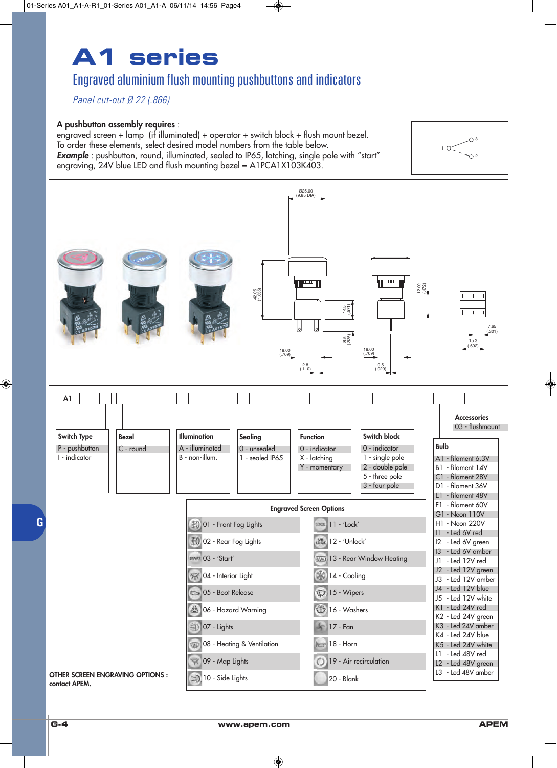## Engraved aluminium flush mounting pushbuttons and indicators

*Panel cut-out Ø 22 (.866)*

### **A pushbutton assembly requires** :

engraved screen + lamp (if illuminated) + operator + switch block + flush mount bezel. To order these elements, select desired model numbers from the table below. **Example**: pushbutton, round, illuminated, sealed to IP65, latching, single pole with "start" engraving, 24V blue LED and flush mounting bezel = A1PCA1X103K403.



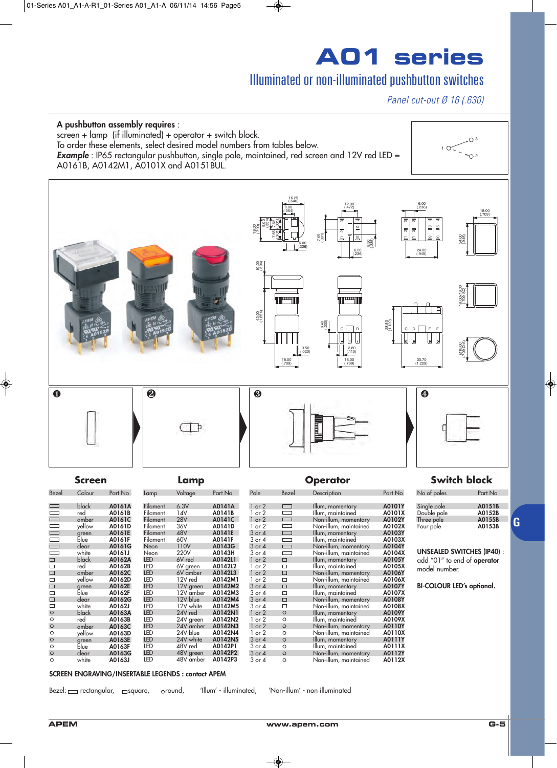## Illuminated or non-illuminated pushbutton switches

*Panel cut-out Ø 16 (.630)*



**UNSEALED SWITCHES (IP40)** : add "01" to end of **operator** model number.

**BI-COLOUR LED's optional.**

**SCREEN ENGRAVING/INSERTABLE LEGENDS : contact APEM**

Bezel:  $\equiv$  rectangular,  $\equiv$  square,  $\equiv$  oround, 'Illum' - illuminated, 'Non-illum' - non illuminated

black **A0163A**

white **A0161J**<br>black **A0162A** black **A0162A**

red **A0162B** amber **A0162C** yellow **A0162D**

green **A0162E** blue **A0162F** clear **A0162G** white **A0162J**

red **A0163B** amber **A0163C**<br>yellow **A0163D** yellow **A0163D**

blue **A0163F** clear **A0163G** white **A0163J**

éreen<br>**blue** 

Neon 220V **A0143H** LED 6V red **A0142L1**<br>LED 6V red **A0142L1** LED 6V green **A0142L2** LED 6V amber **A0142L3** LED 12V red **A0142M1** LED 12V green **A0142M2** LED 12V amber **A0142M3** LED 12V blue **A0142M4**<br>LED 12V white **A0142M5** LED 12V white **A0142M5** LED 24V red **A0142N1** LED 24V green **A0142N2** LED 24V amber **A0142N3** LED 24V blue **A0142N4**<br>LED 24V white **A0142N5** LED 24V white **A0142N5** LED 48V red **A0142P1** LED 48V green **A0142P2** 48V amber

3 or 4 **Non-illum, maintained**<br>1 or 2 <del>D</del> Illum, momentary

**1 or 2 □** Illum, momentary **A0105Y**<br>1 or 2 □ Illum, maintained **A0105X**<br>1 or 2 □ Non-illum, momentary **A0106Y** 1 or 2 Illum, maintained **A0105X** 1 or 2 Non-illum, momentary **A0106Y** 1 or 2 <u>Non-illum, maintained</u> **A0106X**<br>3 or 4 – Illum, momentary **A0107Y** 3 or 4 □ Illum, momentary **A0107Y**<br>3 or 4 □ Illum, maintained **A0107X**<br>3 or 4 □ Non-illum, momentary **A0108Y** 3 or 4 Illum, maintained **A0107X** 3 or 4 1 **Non-illum, momentary 120108Y**<br>3 or 4 1 **Non-illum, momentary 120108X**<br>3 or 4 1 **Non-illum, maintained** 120108X 3 or 4 Non-illum, maintained **A0108X** 1 or 2 Illum, momentary **A0109Y** 1 or 2 Illum, maintained **A0109X** 1 or 2 Non-illum, momentary **A0110Y** 1 or 2 0 Non-illum, maintained **A0110X**<br>3 or 4 0 Illum, momentary **A0111Y** 3 or 4 0 Illum, momentary **A0111Y**<br>3 or 4 0 Illum, maintained **A0111X** 3 or 4 Illum, maintained **A0111X** 3 or 4 Non-illum, momentary **A0112Y** 3 or 4 Non-illum, maintained **A0112X**

 $\Box$  $\overline{\circ}$  $\circ$  $\circ$  $\circ$  $\overline{\circ}$  $\circ$  $\circ$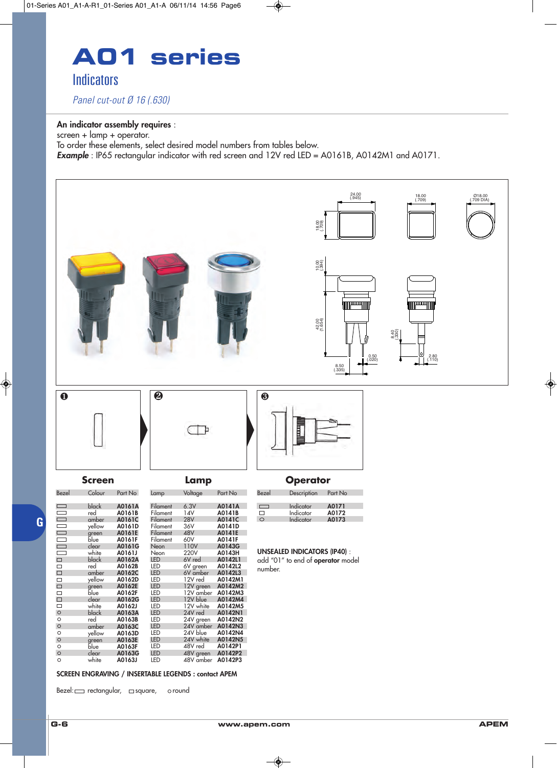

*Panel cut-out Ø 16 (.630)*

#### **An indicator assembly requires** :

screen + lamp + operator.

To order these elements, select desired model numbers from tables below.

**Example**: IP65 rectangular indicator with red screen and 12V red LED = A0161B, A0142M1 and A0171.



#### **SCREEN ENGRAVING / INSERTABLE LEGENDS : contact APEM**

 $Bezel: \square$  rectangular,  $\square$  square, oround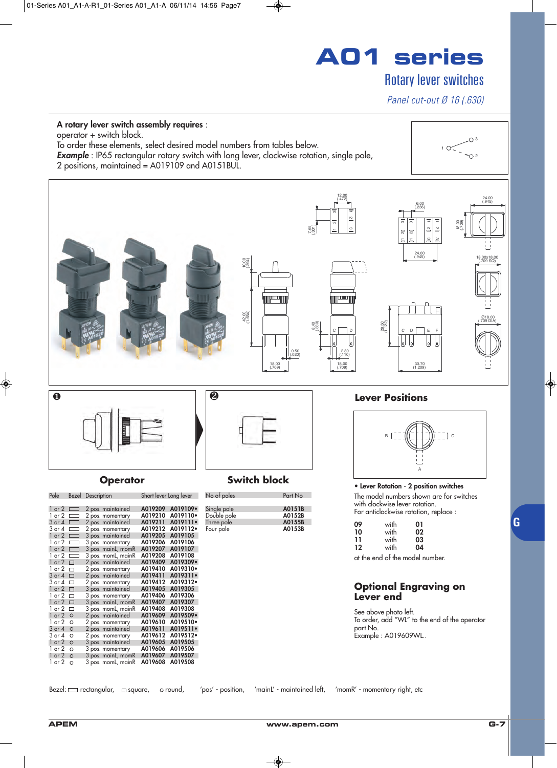## Rotary lever switches

*Panel cut-out Ø 16 (.630)*

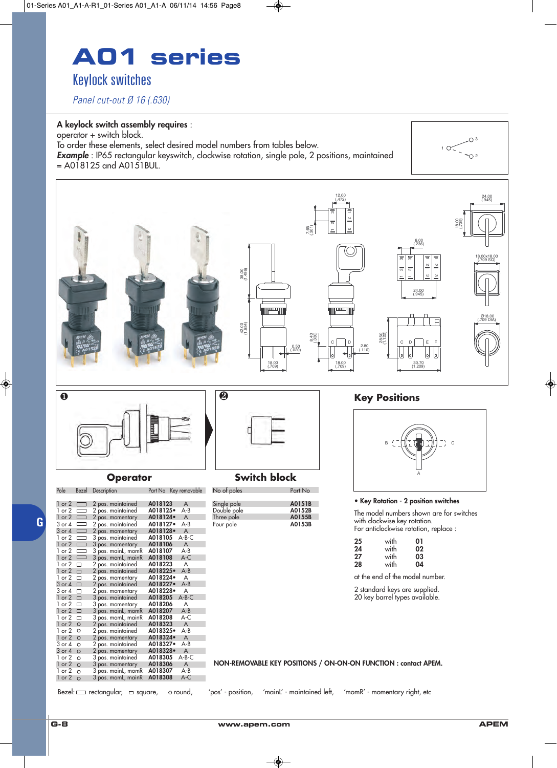## **A01 series** Keylock switches

*Panel cut-out Ø 16 (.630)*

#### **A keylock switch assembly requires** :

operator + switch block. To order these elements, select desired model numbers from tables below.

**Example**: IP65 rectangular keyswitch, clockwise rotation, single pole, 2 positions, maintained  $=$  A018125 and A0151BUL.





### Pole Bezel Description Part No Key removable

| $1$ or $2$ | $\Box$  | 2 pos. maintained  | A018123  | A       |
|------------|---------|--------------------|----------|---------|
| 1 or 2     | $\Box$  | 2 pos. maintained  | A018125. | $A - B$ |
| $1$ or $2$ | $\Box$  | 2 pos. momentary   | A018124. | A       |
| 3 or 4     | $\Box$  | 2 pos. maintained  | A018127• | $A - B$ |
| 3 or 4     | $\Box$  | 2 pos. momentary   | A018128. | A       |
| 1 or 2     |         | 3 pos. maintained  | A018105  | A-B-C   |
| $1$ or $2$ | $\Box$  | 3 pos. momentary   | A018106  | A       |
| $1$ or $2$ | $\Box$  | 3 pos. mainL, momR | A018107  | A-B     |
| $1$ or $2$ | $\Box$  | 3 pos. momL, mainR | A018108  | A-C     |
| 1 or 2     | п       | 2 pos. maintained  | A018223  | A       |
| $1$ or $2$ | $\Box$  | 2 pos. maintained  | A018225. | $A - B$ |
| 1 or 2     | п       | 2 pos. momentary   | A018224• | A       |
| $3$ or $4$ | П       | 2 pos. maintained  | A018227. | $A - B$ |
| 3 or 4     | □       | 2 pos. momentary   | A018228• | A       |
| $1$ or $2$ | $\Box$  | 3 pos. maintained  | A018205  | $A-B-C$ |
| 1 or 2     | □       | 3 pos. momentary   | A018206  | A       |
| $1$ or $2$ | $\Box$  | 3 pos. mainL, momR | A018207  | $A - B$ |
| 1 or 2     | □       | 3 pos. momL, mainR | A018208  | $A-C$   |
| $1$ or $2$ | $\circ$ | 2 pos. maintained  | A018323  | A       |
| 1 or 2     | O       | 2 pos. maintained  | A018325• | $A - B$ |
| $1$ or $2$ | $\circ$ | 2 pos. momentary   | A018324• | A       |
| 3 or 4     | $\circ$ | 2 pos. maintained  | A018327• | $A - B$ |
| $3$ or $4$ | $\circ$ | 2 pos. momentary   | A018328• | A       |
| 1 or 2     | $\circ$ | 3 pos. maintained  | A018305  | A-B-C   |
| $1$ or $2$ | $\circ$ | 3 pos. momentary   | A018306  | A       |
| 1 or 2     | $\circ$ | 3 pos. mainL, momR | A018307  | A-B     |
| $1$ or $2$ | $\circ$ | 3 pos. momL, mainR | A018308  | A-C     |

### **Operator Switch block**

| No of poles                                           | Part No                              |
|-------------------------------------------------------|--------------------------------------|
| Single pole<br>Double pole<br>Three pole<br>Four pole | A0151B<br>A0152B<br>A0155B<br>A0153B |



 $\bigcirc$  3

 $10<$ 

#### **• Key Rotation - 2 position switches**

The model numbers shown are for switches with clockwise key rotation. For anticlockwise rotation, replace :

| 25 | with | 01 |
|----|------|----|
| 24 | with | 02 |
| 27 | with | 03 |
| 28 | with | 04 |

at the end of the model number.

2 standard keys are supplied. 20 key barrel types available.

**NON-REMOVABLE KEY POSITIONS / ON-ON-ON FUNCTION : contact APEM.**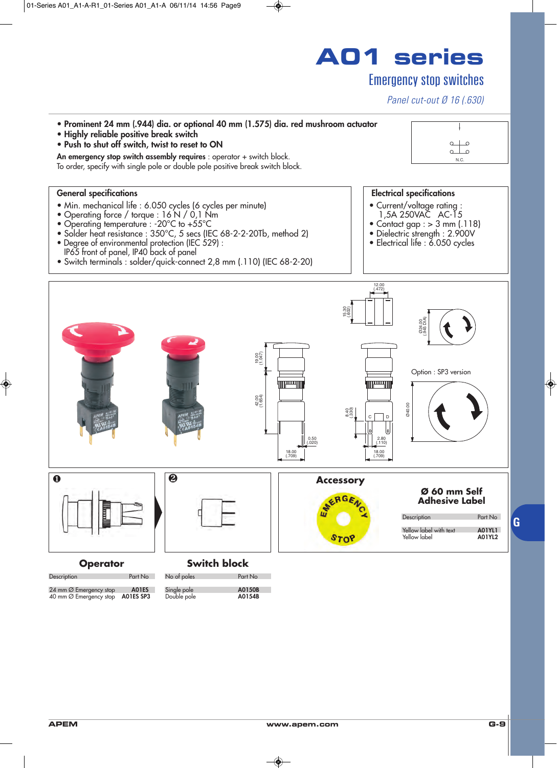

Emergency stop switches

Description Part No

24 mm Ø Emergency stop **A01ES** 40 mm Ø Emergency stop **A01ES SP3**

No of poles Part No Single pole **A0150B** Double pole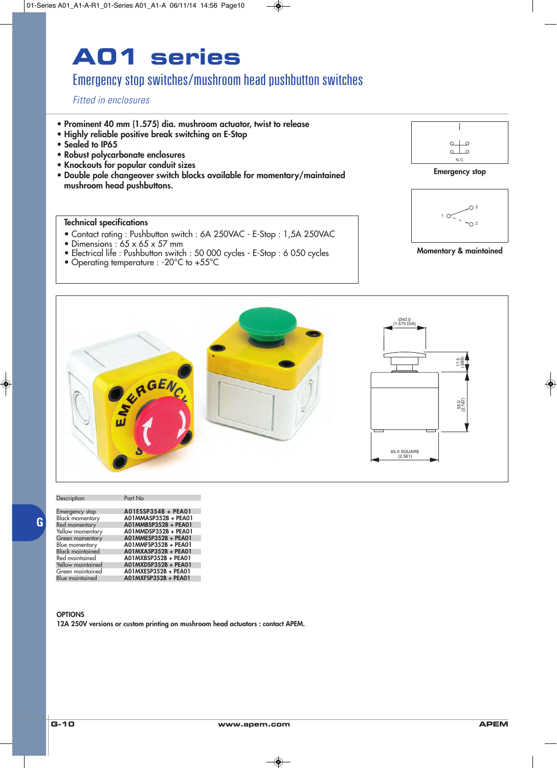## Emergency stop switches/mushroom head pushbutton switches

*Fitted in enclosures*

- **Prominent 40 mm (1.575) dia. mushroom actuator, twist to release**
- **Highly reliable positive break switching on E-Stop**
- **Sealed to IP65**
- **Robust polycarbonate enclosures**
- **Knockouts for popular conduit sizes**
- **Double pole changeover switch blocks available for momentary/maintained mushroom head pushbuttons.**

### **Technical specifications**

- Contact rating : Pushbutton switch : 6A 250VAC E-Stop : 1,5A 250VAC
- Dimensions :  $65 \times 65 \times 57$  mm
- Electrical life : Pushbutton switch : 50 000 cycles E-Stop : 6 050 cycles
- Operating temperature : -20°C to +55°C







**Momentary & maintained**



| Description             | Part No              |
|-------------------------|----------------------|
|                         |                      |
| Emergency stop          | A01ESSP354B + PEA01  |
| <b>Black momentary</b>  | A01MMASP352B + PEA01 |
| Red momentary           | A01MMBSP352B + PEA01 |
| Yellow momentary        | A01MMDSP352B + PEA01 |
| Green momentary         | A01MMESP352B + PEA01 |
| Blue momentary          | A01MMFSP352B + PEA01 |
| <b>Black maintained</b> | A01MXASP352B + PEA01 |
| Red maintained          | A01MXBSP352B + PEA01 |
| Yellow maintained       | A01MXDSP352B + PEA01 |
| Green maintained        | A01MXESP352B + PEA01 |
| <b>Blue maintained</b>  | A01MXFSP352B + PEA01 |

#### **OPTIONS**

**G**

**12A 250V versions or custom printing on mushroom head actuators : contact APEM.**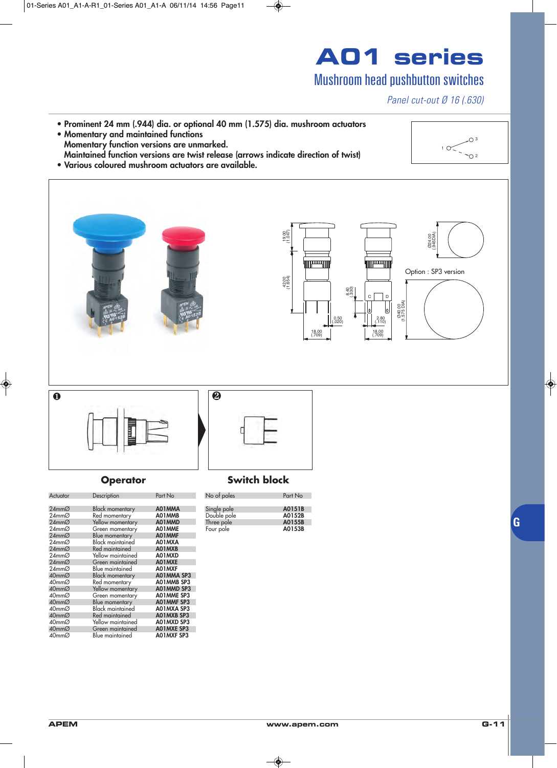## Mushroom head pushbutton switches

*Panel cut-out Ø 16 (.630)*

**• Prominent 24 mm (.944) dia. or optional 40 mm (1.575) dia. mushroom actuators • Momentary and maintained functions Momentary function versions are unmarked. Maintained function versions are twist release (arrows indicate direction of twist)**



**• Various coloured mushroom actuators are available.**



## Actuator Description Part No

| 1.00000               | <b>PUSSIPIIOII</b>      |                   |
|-----------------------|-------------------------|-------------------|
| $24$ mm $\varnothing$ | <b>Black momentary</b>  | A01MMA            |
| 24mmØ                 | Red momentary           | A01MMB            |
| $24$ mm $\varnothing$ | Yellow momentary        | A01MMD            |
| 24mmØ                 | Green momentary         | A01MME            |
| $24$ mm $\varnothing$ | Blue momentary          | A01MMF            |
| 24mmØ                 | Black maintained        | A01MXA            |
| $24$ mm $\varnothing$ | Red maintained          | A01MXB            |
| 24mmØ                 | Yellow maintained       | A01MXD            |
| $24$ mm $\varnothing$ | Green maintained        | A01MXE            |
| 24mmØ                 | Blue maintained         | A01MXF            |
| 40mmØ                 | <b>Black momentary</b>  | A01MMA SP3        |
| 40mmØ                 | Red momentary           | AO1MMB SP3        |
| 40mmØ                 | Yellow momentary        | A01MMD SP3        |
| 40mmØ                 | Green momentary         | AO1MME SP3        |
| 40mmØ                 | Blue momentary          | AO1MMF SP3        |
| 40mmØ                 | <b>Black maintained</b> | A01MXA SP3        |
| 40mmØ                 | Red maintained          | AO1MXB SP3        |
| 40mmØ                 | Yellow maintained       | A01MXD SP3        |
| $40$ mm $\varnothing$ | Green maintained        | <b>AO1MXE SP3</b> |
| 40mmØ                 | Blue maintained         | AO1MXF SP3        |
|                       |                         |                   |

| No of poles | Part No |
|-------------|---------|
|             |         |
| Single pole | A0151B  |
| Double pole | A0152B  |
| Three pole  | A0155B  |
| Four pole   | A0153B  |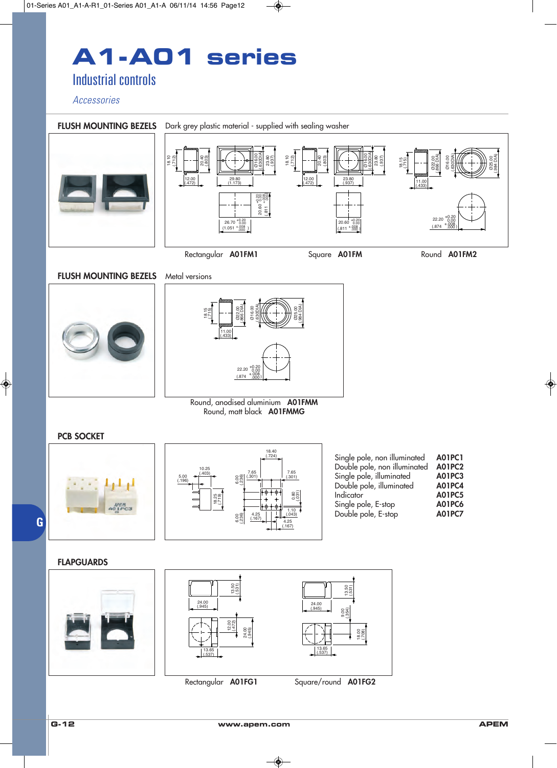# **A1-A01 series**

Industrial controls

*Accessories*

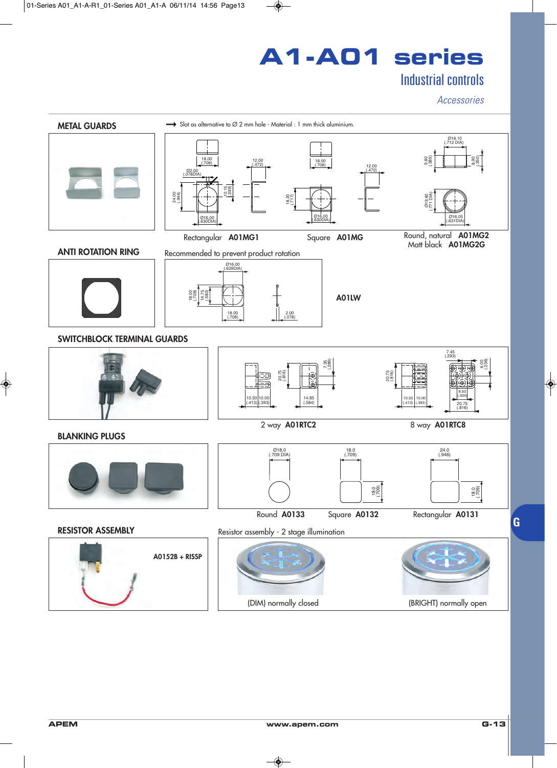# **A1-A01 series**

## Industrial controls

*Accessories*



(DIM) normally closed (BRIGHT) normally open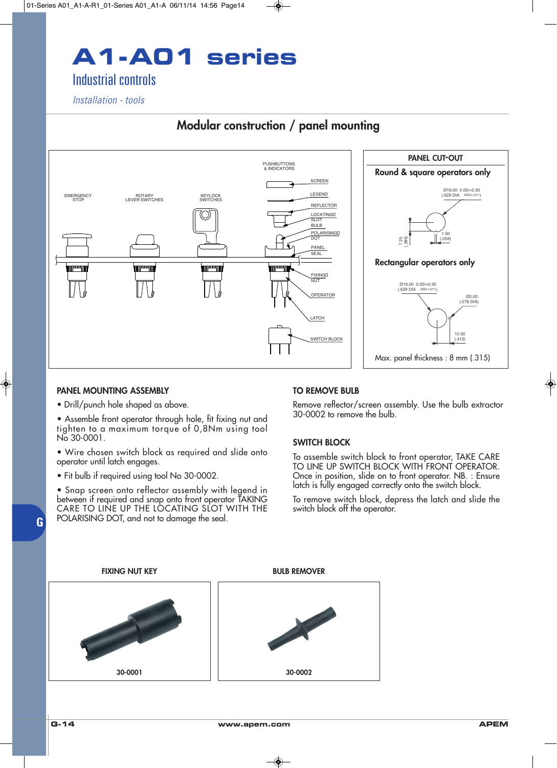# **A1-A01 series**

## Industrial controls

*Installation - tools*

## **Modular construction / panel mounting**

![](_page_12_Figure_4.jpeg)

### **PANEL MOUNTING ASSEMBLY**

• Drill/punch hole shaped as above.

• Assemble front operator through hole, fit fixing nut and tighten to a maximum torque of 0,8Nm using tool No 30-0001.

• Wire chosen switch block as required and slide onto operator until latch engages.

• Fit bulb if required using tool No 30-0002.

• Snap screen onto reflector assembly with legend in between if required and snap onto front operator TAKING CARE TO LINE UP THE LOCATING SLOT WITH THE POLARISING DOT, and not to damage the seal.

### **TO REMOVE BULB**

Remove reflector/screen assembly. Use the bulb extractor 30-0002 to remove the bulb.

### **SWITCH BLOCK**

To assemble switch block to front operator, TAKE CARE TO LINE UP SWITCH BLOCK WITH FRONT OPERATOR. Once in position, slide on to front operator. NB. : Ensure latch is fully engaged correctly onto the switch block.

To remove switch block, depress the latch and slide the switch block off the operator.

![](_page_12_Figure_16.jpeg)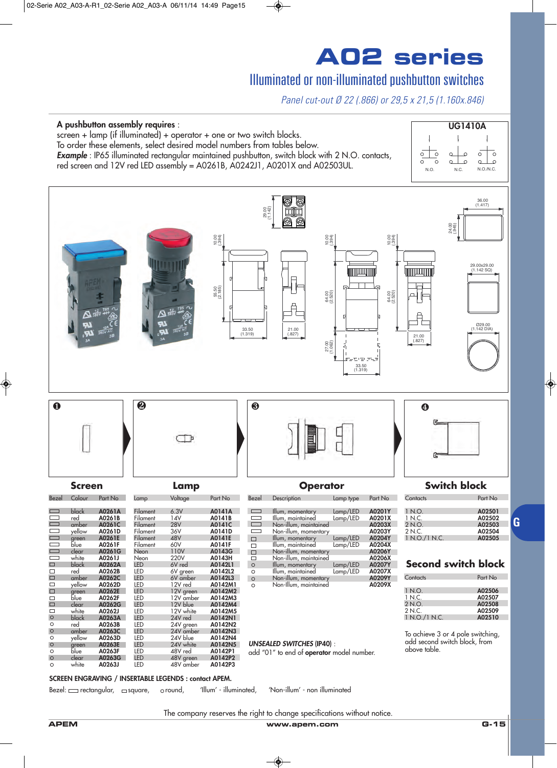## Illuminated or non-illuminated pushbutton switches

*Panel cut-out Ø 22 (.866) or 29,5 x 21,5 (1.160x.846)*

![](_page_13_Figure_3.jpeg)

#### **SCREEN ENGRAVING / INSERTABLE LEGENDS : contact APEM.**

Bezel: <u>caretangular, casquare</u>, oround, 'Illum' - illuminated, 'Non-illum' - non illuminated

| 1 NQ          | A02501 |
|---------------|--------|
| 1 N.C.        | A02502 |
| 2NQ           | A02503 |
| 2NC           | A02504 |
| 1 N.O./1 N.C. | A02505 |

**G**

The company reserves the right to change specifications without notice.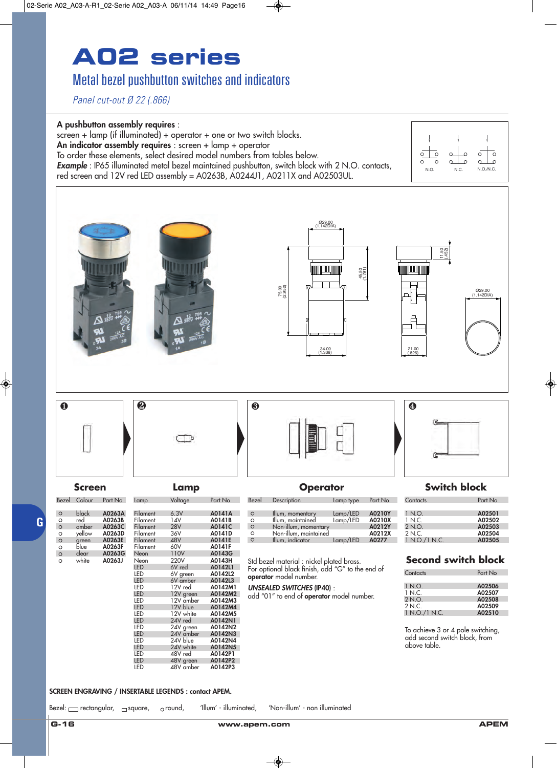## Metal bezel pushbutton switches and indicators

*Panel cut-out Ø 22 (.866)*

#### **A pushbutton assembly requires** :

screen + lamp (if illuminated) + operator + one or two switch blocks.

**An indicator assembly requires** : screen + lamp + operator

To order these elements, select desired model numbers from tables below.

*Example* : IP65 illuminated metal bezel maintained pushbutton, switch block with 2 N.O. contacts, red screen and 12V red LED assembly = A0263B, A0244J1, A0211X and A02503UL. N.O. N.C. N.O./N.C.

![](_page_14_Figure_9.jpeg)

#### **SCREEN ENGRAVING / INSERTABLE LEGENDS : contact APEM.**

Bezel: mectangular, masquare, oround, 'Illum' - illuminated, 'Non-illum' - non illuminated

**G**

 $\circ$ 

 $\bar{\circ}$ 

<u>ි</u>

 $\bar{\circ}$ 

 $\overline{\circ}$  $\bar{\circ}$ 

 $\circ$ 

 $\overline{c}$ 

 $\Omega$ 

 $\alpha$ <u>ہ ا</u>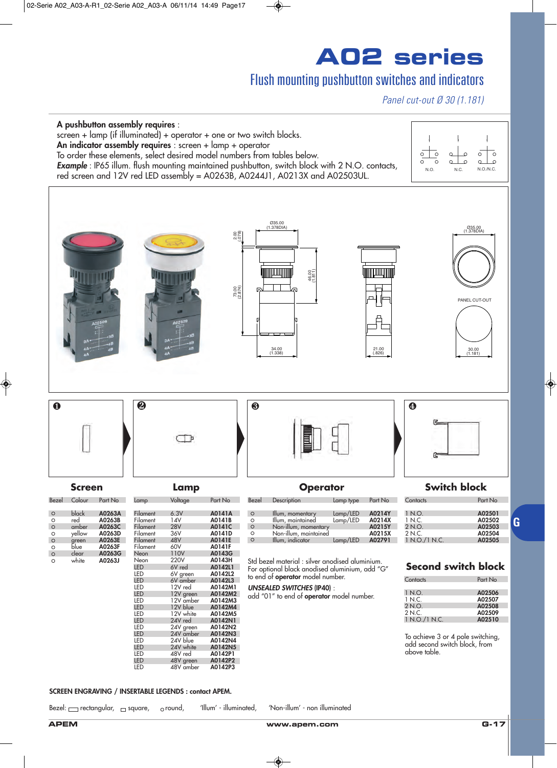## Flush mounting pushbutton switches and indicators

*Panel cut-out Ø 30 (1.181)*

![](_page_15_Figure_3.jpeg)

#### **SCREEN ENGRAVING / INSERTABLE LEGENDS : contact APEM.**

Bezel:  $\equiv$  rectangular,  $\equiv$  square,  $\equiv$  oround, 'Illum' - illuminated, 'Non-illum' - non illuminated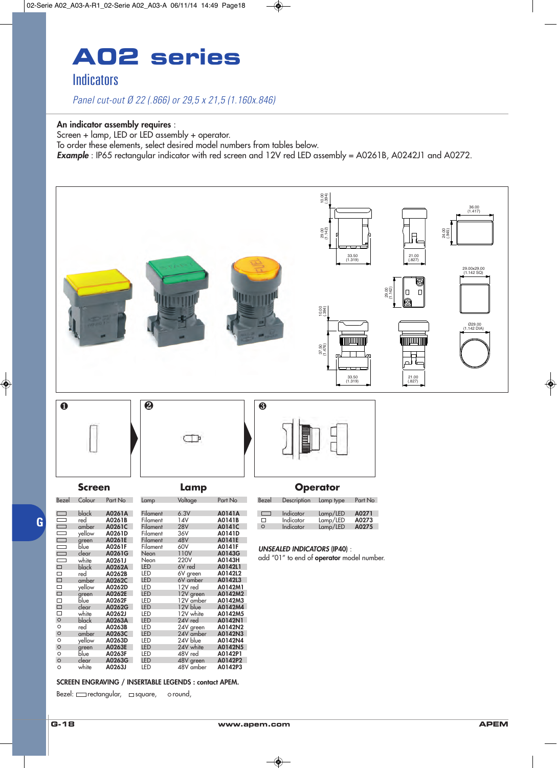## **A02 series Indicators**

*Panel cut-out Ø 22 (.866) or 29,5 x 21,5 (1.160x.846)*

#### **An indicator assembly requires** :

Screen + lamp, LED or LED assembly + operator. To order these elements, select desired model numbers from tables below. *Example* : IP65 rectangular indicator with red screen and 12V red LED assembly = A0261B, A0242J1 and A0272.

![](_page_16_Figure_4.jpeg)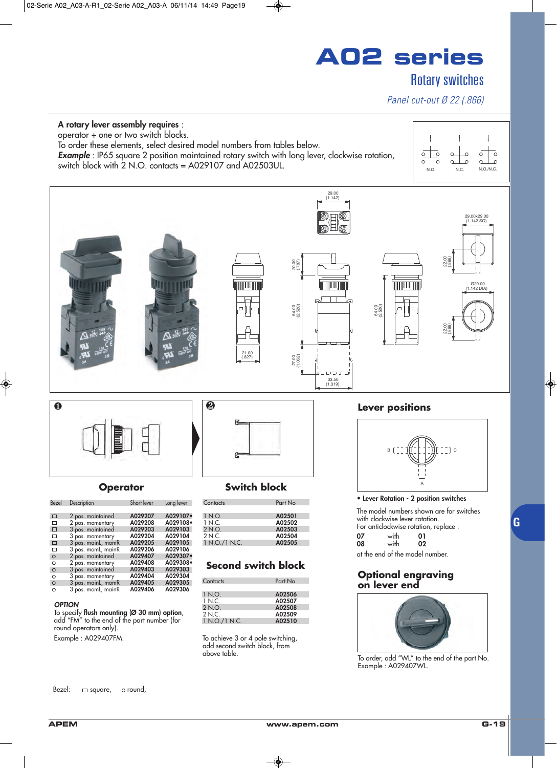## Rotary switches

### *Panel cut-out Ø 22 (.866)*

### **A rotary lever assembly requires** :

operator + one or two switch blocks.

To order these elements, select desired model numbers from tables below.

**Example**: IP65 square 2 position maintained rotary switch with long lever, clockwise rotation,  $s$  switch block with 2 N.O. contacts = A029107 and A02503UL.

![](_page_17_Figure_7.jpeg)

![](_page_17_Figure_8.jpeg)

add "FM" to the end of the part number (for round operators only). Example : A029407FM.

| Contacts      | Part No |
|---------------|---------|
|               |         |
| 1 N.O.        | A02506  |
| 1 N.C.        | A02507  |
| 2 N.O.        | A02508  |
| 2 N.C.        | A02509  |
| 1 N.O./1 N.C. | A02510  |
|               |         |

To achieve 3 or 4 pole switching, add second switch block, from above table.

To order, add "WL" to the end of the part No. Example : A029407WL.

Bezel:  $\Box$  square,  $\circ$  round,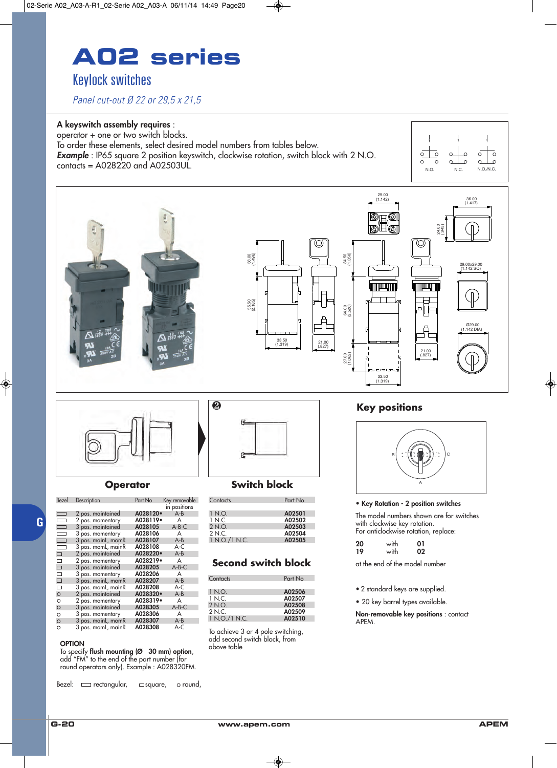## **A02 series** Keylock switches

*Panel cut-out Ø 22 or 29,5 x 21,5*

### **A keyswitch assembly requires** :

operator + one or two switch blocks. To order these elements, select desired model numbers from tables below. **Example**: IP65 square 2 position keyswitch, clockwise rotation, switch block with 2 N.O.  $\frac{1}{\sqrt{10}}$  contacts = A028220 and A02503UL.

![](_page_18_Figure_4.jpeg)

![](_page_18_Figure_5.jpeg)

![](_page_18_Picture_6.jpeg)

**G**

| Bezel                |                    | Part No  |               |
|----------------------|--------------------|----------|---------------|
|                      | Description        |          | Key removable |
|                      |                    |          | in positions  |
| $\Box$               | 2 pos. maintained  | A028120. | $A - B$       |
| $\qquad \qquad \Box$ | 2 pos. momentary   | A028119. | A             |
| $\Box$               | 3 pos. maintained  | A028105  | $A-B-C$       |
| $\Box$               | 3 pos. momentary   | A028106  | A             |
| $\Box$               | 3 pos. mainL, momR | A028107  | $A - B$       |
| $\Box$               | 3 pos. momL, mainR | A028108  | $A-C$         |
| $\Box$               | 2 pos. maintained  | A028220. | $A - B$       |
| □                    | 2 pos. momentary   | A028219• | A             |
| □                    | 3 pos. maintained  | A028205  | $A-B-C$       |
| □                    | 3 pos. momentary   | A028206  | A             |
| $\Box$               | 3 pos. mainL, momR | A028207  | $A - B$       |
| □                    | 3 pos. momL, mainR | A028208  | A-C           |
| O                    | 2 pos. maintained  | A028320. | $A - B$       |
| O                    | 2 pos. momentary   | A028319. | A             |
| O                    | 3 pos. maintained  | A028305  | $A-B-C$       |
| $\circ$              | 3 pos. momentary   | A028306  | A             |
| O                    | 3 pos. mainL, momR | A028307  | $A - B$       |
| $\circ$              | 3 pos. momL, mainR | A028308  | A-C           |

#### **OPTION**

 $\overline{O}$ 

 $\circ$  $\circ$  $\overline{O}$ 

> To specify **flush mounting (Ø 30 mm) option**, add "FM" to the end of the part number (for round operators only). Example : A028320FM.

Bezel:  $\Box$  rectangular,  $\Box$  square,  $\circ$  round,

![](_page_18_Picture_13.jpeg)

### **Operator Switch block**

| Part No |
|---------|
|         |
| A02501  |
| A02502  |
| A02503  |
| A02504  |
| A02505  |
|         |

### **Second switch block**

| Contacts      | Part No |
|---------------|---------|
|               |         |
| 1 N.O.        | A02506  |
| 1 N.C.        | A02507  |
| 2 N.O.        | A02508  |
| 2 N.C.        | A02509  |
| 1 N.O./1 N.C. | A02510  |
|               |         |

To achieve 3 or 4 pole switching, add second switch block, from above table

![](_page_18_Picture_19.jpeg)

#### **• Key Rotation - 2 position switches**

The model numbers shown are for switches with clockwise key rotation. For anticlockwise rotation, replace:

| 20 | with | 01 |  |
|----|------|----|--|
| 19 | with | 02 |  |
|    |      |    |  |

at the end of the model number

• 2 standard keys are supplied.

• 20 key barrel types available.

**Non-removable key positions** : contact APEM.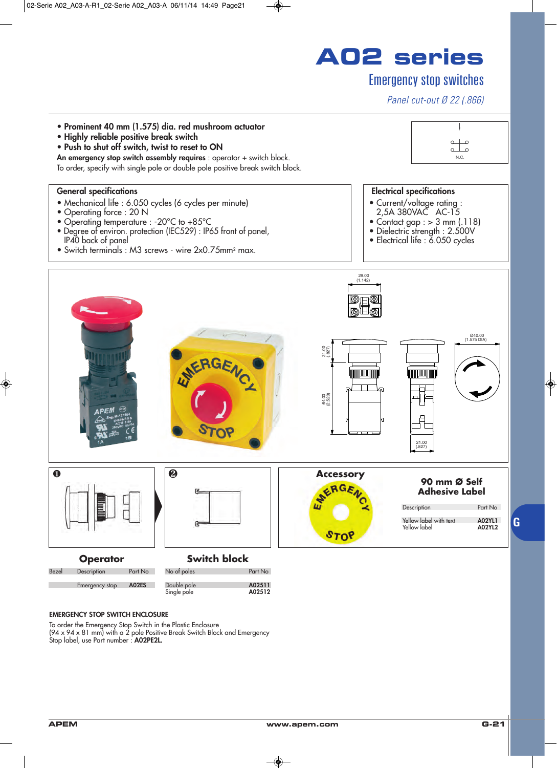## Emergency stop switches

*Panel cut-out Ø 22 (.866)*

![](_page_19_Figure_3.jpeg)

#### **EMERGENCY STOP SWITCH ENCLOSURE**

To order the Emergency Stop Switch in the Plastic Enclosure (94 x 94 x 81 mm) with a 2 pole Positive Break Switch Block and Emergency Stop label, use Part number : **A02PE2L.**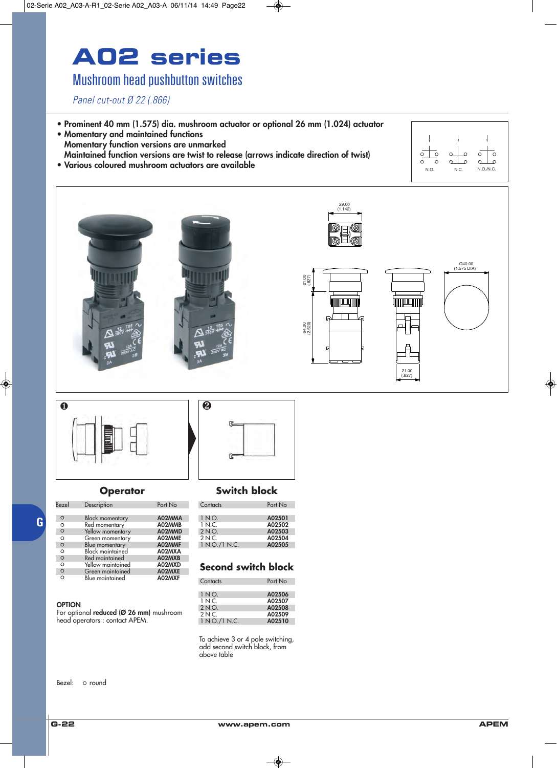## Mushroom head pushbutton switches

*Panel cut-out Ø 22 (.866)*

- **Prominent 40 mm (1.575) dia. mushroom actuator or optional 26 mm (1.024) actuator**
- **Momentary and maintained functions Momentary function versions are unmarked Maintained function versions are twist to release (arrows indicate direction of twist)**

![](_page_20_Figure_5.jpeg)

![](_page_20_Picture_6.jpeg)

![](_page_20_Picture_7.jpeg)

| Bezel    | Description             | Part No |
|----------|-------------------------|---------|
| $\circ$  | <b>Black momentary</b>  | A02MMA  |
| $\circ$  | Red momentary           | A02MMB  |
| $\circ$  | Yellow momentary        | A02MMD  |
| $\circ$  | Green momentary         | A02MME  |
| $\circ$  | Blue momentary          | A02MMF  |
| $\circ$  | <b>Black maintained</b> | A02MXA  |
| $\circ$  | Red maintained          | A02MXB  |
| $\circ$  | Yellow maintained       | A02MXD  |
| $\circ$  | Green maintained        | A02MXE  |
| $\Omega$ | Blue maintained         | A02MXF  |

#### **OPTION**

**G**

For optional **reduced (Ø 26 mm)** mushroom head operators : contact APEM.

![](_page_20_Picture_12.jpeg)

### **Operator Switch block**

| Contacts      | Part No |
|---------------|---------|
| 1 N.O.        | A02501  |
| 1 N.C.        | A02502  |
| 2 N.O.        | A02503  |
| 2 N.C.        | A02504  |
| 1 N.O./1 N.C. | A02505  |

### **Second switch block**

| Contacts      | Part No |
|---------------|---------|
|               |         |
| 1 N.O.        | A02506  |
| 1 N C         | A02507  |
| 2 N.O.        | A02508  |
| 2 N.C.        | A02509  |
| 1 N.O./1 N.C. | A02510  |
|               |         |

To achieve 3 or 4 pole switching, add second switch block, from above table

Bezel: o round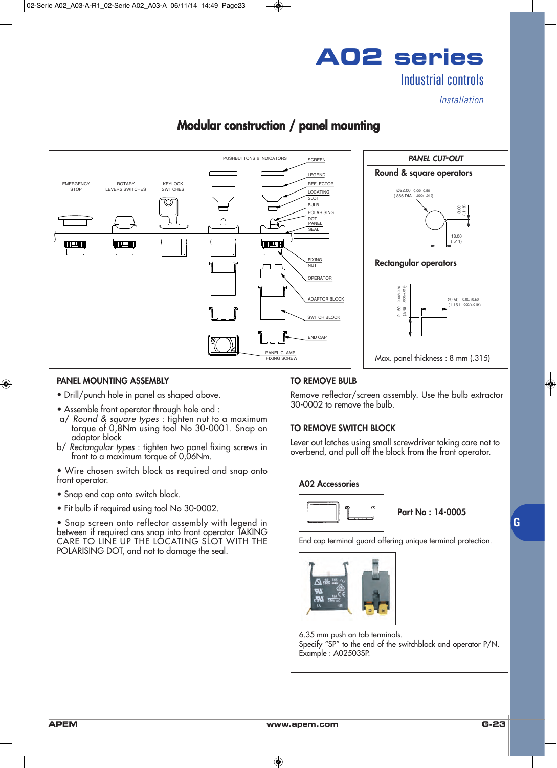**A02 series** Industrial controls

*Installation*

## **Modular construction / panel mounting**

![](_page_21_Figure_3.jpeg)

### **PANEL MOUNTING ASSEMBLY**

- Drill/punch hole in panel as shaped above.
- Assemble front operator through hole and :
- a/ *Round & square types* : tighten nut to a maximum torque of 0,8Nm using tool No 30-0001. Snap on adaptor block
- b/ *Rectangular types* : tighten two panel fixing screws in front to a maximum torque of 0,06Nm.
- Wire chosen switch block as required and snap onto front operator.
- Snap end cap onto switch block.
- Fit bulb if required using tool No 30-0002.

• Snap screen onto reflector assembly with legend in between if required ans snap into front operator TAKING CARE TO LINE UP THE LOCATING SLOT WITH THE POLARISING DOT, and not to damage the seal.

### **TO REMOVE BULB**

Remove reflector/screen assembly. Use the bulb extractor 30-0002 to remove the bulb.

### **TO REMOVE SWITCH BLOCK**

Lever out latches using small screwdriver taking care not to overbend, and pull off the block from the front operator.

**A02 Accessories**

![](_page_21_Picture_18.jpeg)

**Part No : 14-0005**

End cap terminal guard offering unique terminal protection.

![](_page_21_Picture_21.jpeg)

6.35 mm push on tab terminals.

Specify "SP" to the end of the switchblock and operator P/N. Example : A02503SP.